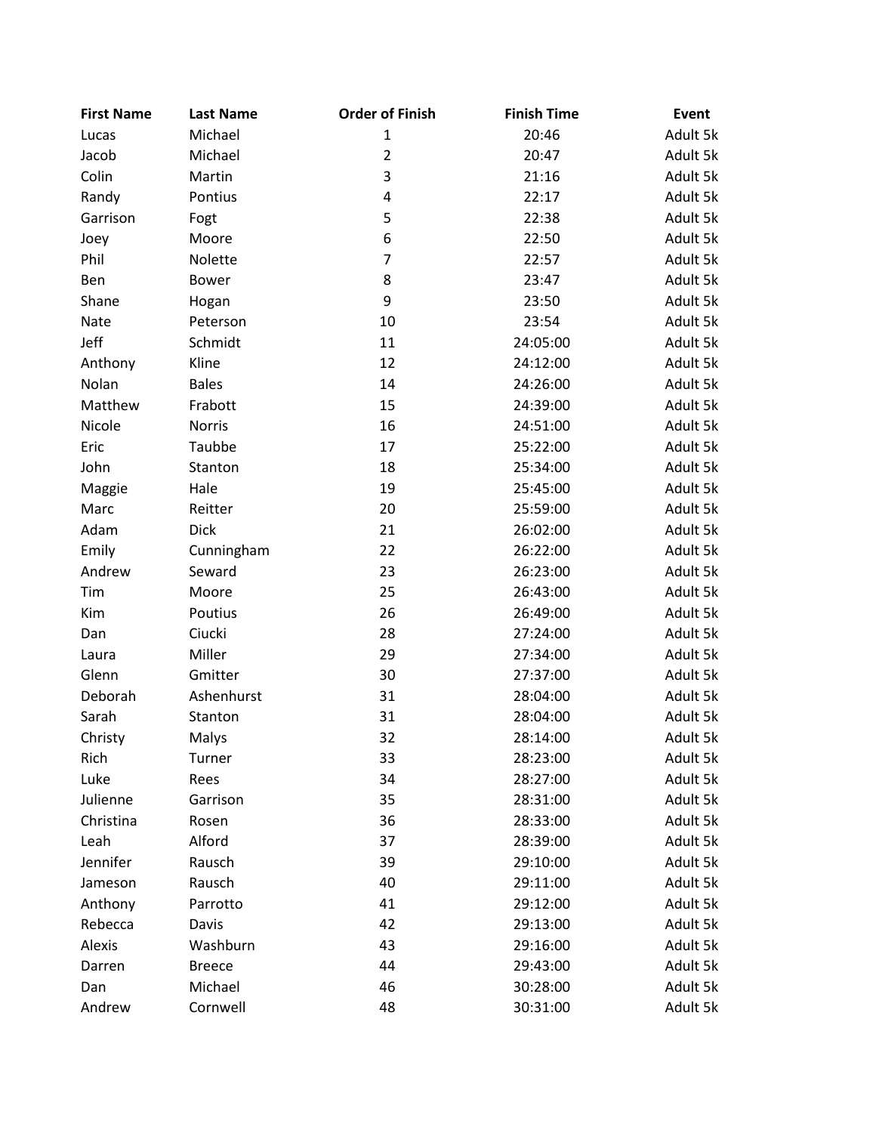| <b>First Name</b> | <b>Last Name</b> | <b>Order of Finish</b> | <b>Finish Time</b> | Event    |
|-------------------|------------------|------------------------|--------------------|----------|
| Lucas             | Michael          | $\mathbf{1}$           | 20:46              | Adult 5k |
| Jacob             | Michael          | $\overline{2}$         | 20:47              | Adult 5k |
| Colin             | Martin           | 3                      | 21:16              | Adult 5k |
| Randy             | Pontius          | 4                      | 22:17              | Adult 5k |
| Garrison          | Fogt             | 5                      | 22:38              | Adult 5k |
| Joey              | Moore            | 6                      | 22:50              | Adult 5k |
| Phil              | Nolette          | $\overline{7}$         | 22:57              | Adult 5k |
| Ben               | <b>Bower</b>     | 8                      | 23:47              | Adult 5k |
| Shane             | Hogan            | 9                      | 23:50              | Adult 5k |
| <b>Nate</b>       | Peterson         | 10                     | 23:54              | Adult 5k |
| Jeff              | Schmidt          | 11                     | 24:05:00           | Adult 5k |
| Anthony           | Kline            | 12                     | 24:12:00           | Adult 5k |
| Nolan             | <b>Bales</b>     | 14                     | 24:26:00           | Adult 5k |
| Matthew           | Frabott          | 15                     | 24:39:00           | Adult 5k |
| Nicole            | <b>Norris</b>    | 16                     | 24:51:00           | Adult 5k |
| Eric              | Taubbe           | 17                     | 25:22:00           | Adult 5k |
| John              | Stanton          | 18                     | 25:34:00           | Adult 5k |
| Maggie            | Hale             | 19                     | 25:45:00           | Adult 5k |
| Marc              | Reitter          | 20                     | 25:59:00           | Adult 5k |
| Adam              | <b>Dick</b>      | 21                     | 26:02:00           | Adult 5k |
| Emily             | Cunningham       | 22                     | 26:22:00           | Adult 5k |
| Andrew            | Seward           | 23                     | 26:23:00           | Adult 5k |
| Tim               | Moore            | 25                     | 26:43:00           | Adult 5k |
| Kim               | Poutius          | 26                     | 26:49:00           | Adult 5k |
| Dan               | Ciucki           | 28                     | 27:24:00           | Adult 5k |
| Laura             | Miller           | 29                     | 27:34:00           | Adult 5k |
| Glenn             | Gmitter          | 30                     | 27:37:00           | Adult 5k |
| Deborah           | Ashenhurst       | 31                     | 28:04:00           | Adult 5k |
| Sarah             | Stanton          | 31                     | 28:04:00           | Adult 5k |
| Christy           | Malys            | 32                     | 28:14:00           | Adult 5k |
| Rich              | Turner           | 33                     | 28:23:00           | Adult 5k |
| Luke              | Rees             | 34                     | 28:27:00           | Adult 5k |
| Julienne          | Garrison         | 35                     | 28:31:00           | Adult 5k |
| Christina         | Rosen            | 36                     | 28:33:00           | Adult 5k |
| Leah              | Alford           | 37                     | 28:39:00           | Adult 5k |
| Jennifer          | Rausch           | 39                     | 29:10:00           | Adult 5k |
| Jameson           | Rausch           | 40                     | 29:11:00           | Adult 5k |
| Anthony           | Parrotto         | 41                     | 29:12:00           | Adult 5k |
| Rebecca           | Davis            | 42                     | 29:13:00           | Adult 5k |
| Alexis            | Washburn         | 43                     | 29:16:00           | Adult 5k |
| Darren            | <b>Breece</b>    | 44                     | 29:43:00           | Adult 5k |
| Dan               | Michael          | 46                     | 30:28:00           | Adult 5k |
| Andrew            | Cornwell         | 48                     | 30:31:00           | Adult 5k |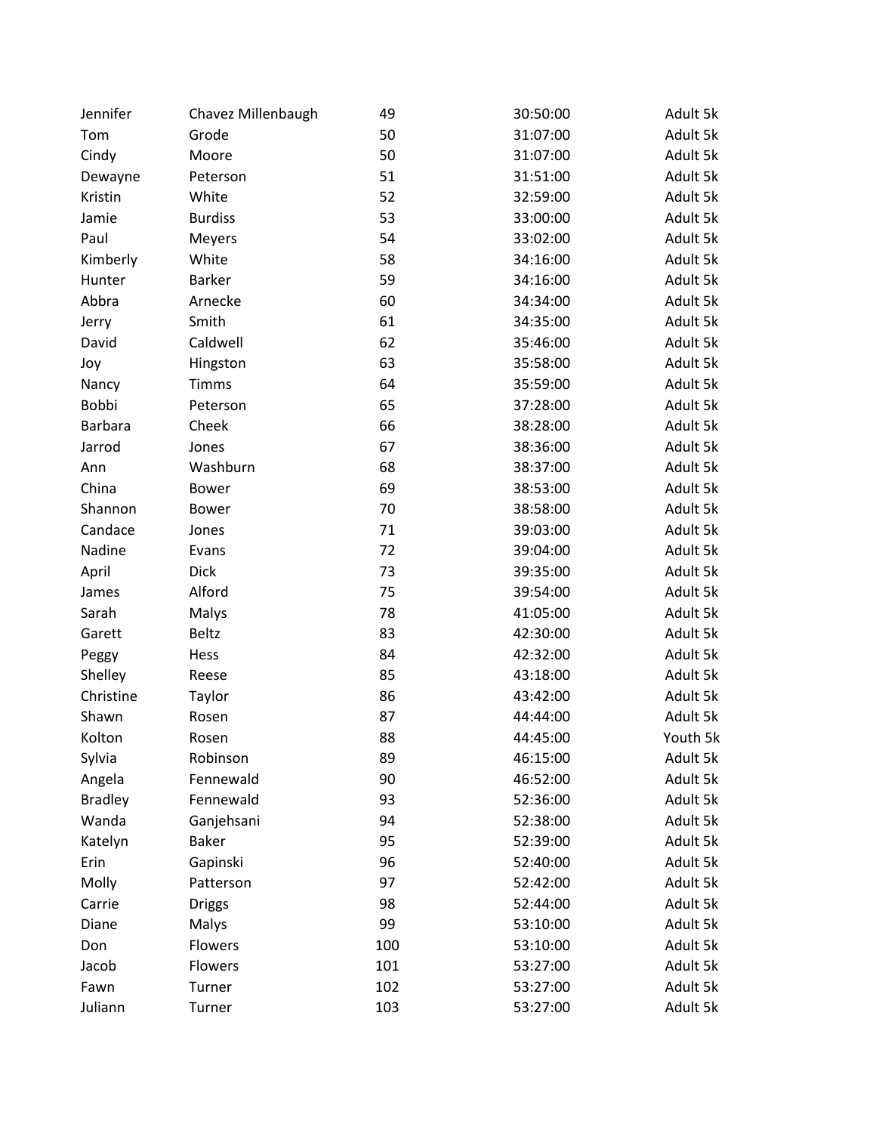| Jennifer       | Chavez Millenbaugh | 49  | 30:50:00 | Adult 5k |
|----------------|--------------------|-----|----------|----------|
| Tom            | Grode              | 50  | 31:07:00 | Adult 5k |
| Cindy          | Moore              | 50  | 31:07:00 | Adult 5k |
| Dewayne        | Peterson           | 51  | 31:51:00 | Adult 5k |
| Kristin        | White              | 52  | 32:59:00 | Adult 5k |
| Jamie          | <b>Burdiss</b>     | 53  | 33:00:00 | Adult 5k |
| Paul           | Meyers             | 54  | 33:02:00 | Adult 5k |
| Kimberly       | White              | 58  | 34:16:00 | Adult 5k |
| Hunter         | <b>Barker</b>      | 59  | 34:16:00 | Adult 5k |
| Abbra          | Arnecke            | 60  | 34:34:00 | Adult 5k |
| Jerry          | Smith              | 61  | 34:35:00 | Adult 5k |
| David          | Caldwell           | 62  | 35:46:00 | Adult 5k |
| Joy            | Hingston           | 63  | 35:58:00 | Adult 5k |
| Nancy          | <b>Timms</b>       | 64  | 35:59:00 | Adult 5k |
| <b>Bobbi</b>   | Peterson           | 65  | 37:28:00 | Adult 5k |
| <b>Barbara</b> | Cheek              | 66  | 38:28:00 | Adult 5k |
| Jarrod         | Jones              | 67  | 38:36:00 | Adult 5k |
| Ann            | Washburn           | 68  | 38:37:00 | Adult 5k |
| China          | <b>Bower</b>       | 69  | 38:53:00 | Adult 5k |
| Shannon        | <b>Bower</b>       | 70  | 38:58:00 | Adult 5k |
| Candace        | Jones              | 71  | 39:03:00 | Adult 5k |
| Nadine         | Evans              | 72  | 39:04:00 | Adult 5k |
| April          | Dick               | 73  | 39:35:00 | Adult 5k |
| James          | Alford             | 75  | 39:54:00 | Adult 5k |
| Sarah          | Malys              | 78  | 41:05:00 | Adult 5k |
| Garett         | Beltz              | 83  | 42:30:00 | Adult 5k |
| Peggy          | Hess               | 84  | 42:32:00 | Adult 5k |
| Shelley        | Reese              | 85  | 43:18:00 | Adult 5k |
| Christine      | Taylor             | 86  | 43:42:00 | Adult 5k |
| Shawn          | Rosen              | 87  | 44:44:00 | Adult 5k |
| Kolton         | Rosen              | 88  | 44:45:00 | Youth 5k |
| Sylvia         | Robinson           | 89  | 46:15:00 | Adult 5k |
| Angela         | Fennewald          | 90  | 46:52:00 | Adult 5k |
| <b>Bradley</b> | Fennewald          | 93  | 52:36:00 | Adult 5k |
| Wanda          | Ganjehsani         | 94  | 52:38:00 | Adult 5k |
| Katelyn        | <b>Baker</b>       | 95  | 52:39:00 | Adult 5k |
| Erin           | Gapinski           | 96  | 52:40:00 | Adult 5k |
| Molly          | Patterson          | 97  | 52:42:00 | Adult 5k |
| Carrie         | <b>Driggs</b>      | 98  | 52:44:00 | Adult 5k |
| Diane          | Malys              | 99  | 53:10:00 | Adult 5k |
| Don            | Flowers            | 100 | 53:10:00 | Adult 5k |
| Jacob          | Flowers            | 101 | 53:27:00 | Adult 5k |
| Fawn           | Turner             | 102 | 53:27:00 | Adult 5k |
| Juliann        | Turner             | 103 | 53:27:00 | Adult 5k |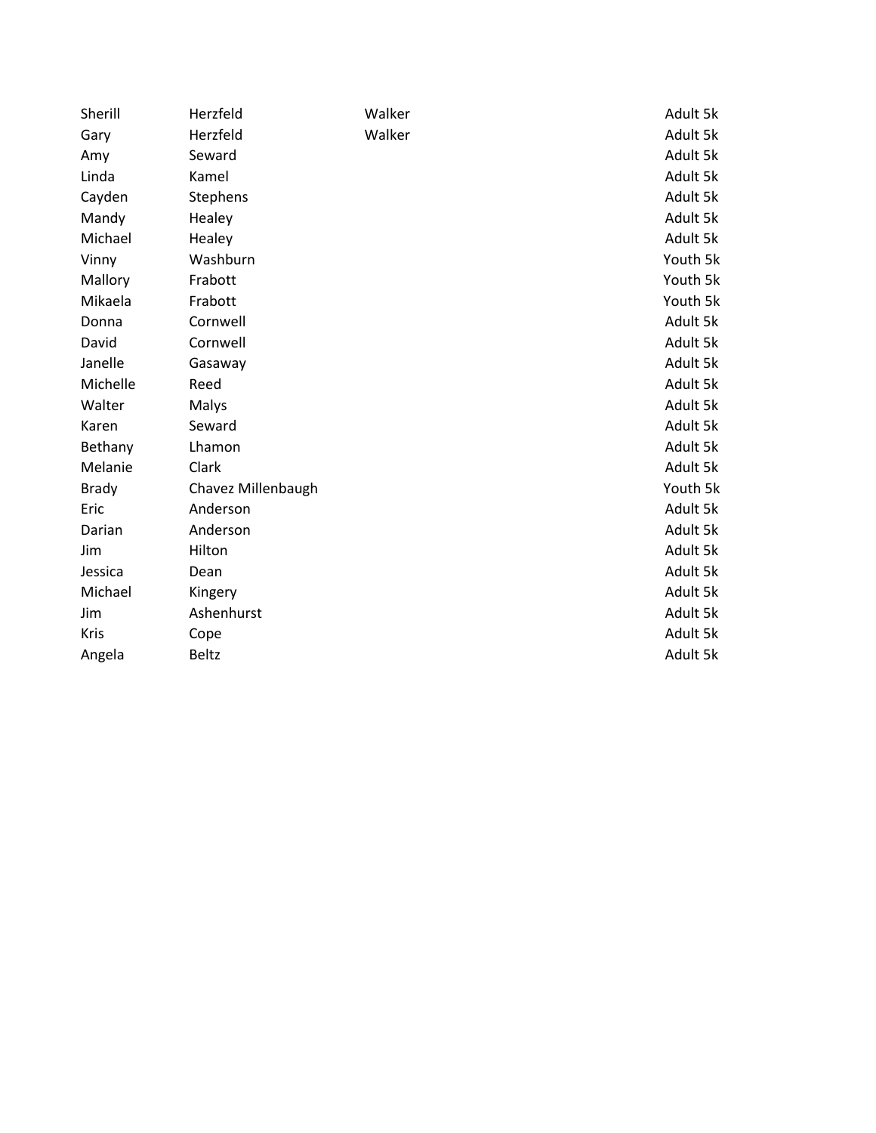| Walker<br>Herzfeld<br>Adult 5k<br>Gary<br>Adult 5k<br>Seward<br>Amy<br>Adult 5k<br>Linda<br>Kamel<br>Adult 5k<br>Cayden<br>Stephens<br>Adult 5k<br>Mandy<br>Healey<br>Michael<br>Adult 5k<br>Healey<br>Youth 5k<br>Washburn<br>Vinny<br>Youth 5k<br>Mallory<br>Frabott<br>Mikaela<br>Youth 5k<br>Frabott<br>Cornwell<br>Adult 5k<br>Donna<br>Cornwell<br>Adult 5k<br>David<br>Adult 5k<br>Janelle<br>Gasaway<br>Michelle<br>Reed<br>Adult 5k<br>Walter<br>Malys<br>Adult 5k<br>Adult 5k<br>Karen<br>Seward<br>Adult 5k<br>Bethany<br>Lhamon<br>Melanie<br>Clark<br>Adult 5k<br>Youth 5k<br><b>Brady</b><br>Chavez Millenbaugh<br>Eric<br>Anderson<br>Adult 5k<br>Adult 5k<br>Anderson<br>Darian<br>Adult 5k<br>Hilton<br>Jim<br>Adult 5k<br>Jessica<br>Dean<br>Adult 5k<br>Michael<br>Kingery<br>Ashenhurst<br>Adult 5k<br>Jim<br>Adult 5k<br>Kris<br>Cope<br>Beltz<br>Adult 5k<br>Angela | Sherill | Herzfeld | Walker | Adult 5k |
|-------------------------------------------------------------------------------------------------------------------------------------------------------------------------------------------------------------------------------------------------------------------------------------------------------------------------------------------------------------------------------------------------------------------------------------------------------------------------------------------------------------------------------------------------------------------------------------------------------------------------------------------------------------------------------------------------------------------------------------------------------------------------------------------------------------------------------------------------------------------------------------------|---------|----------|--------|----------|
|                                                                                                                                                                                                                                                                                                                                                                                                                                                                                                                                                                                                                                                                                                                                                                                                                                                                                           |         |          |        |          |
|                                                                                                                                                                                                                                                                                                                                                                                                                                                                                                                                                                                                                                                                                                                                                                                                                                                                                           |         |          |        |          |
|                                                                                                                                                                                                                                                                                                                                                                                                                                                                                                                                                                                                                                                                                                                                                                                                                                                                                           |         |          |        |          |
|                                                                                                                                                                                                                                                                                                                                                                                                                                                                                                                                                                                                                                                                                                                                                                                                                                                                                           |         |          |        |          |
|                                                                                                                                                                                                                                                                                                                                                                                                                                                                                                                                                                                                                                                                                                                                                                                                                                                                                           |         |          |        |          |
|                                                                                                                                                                                                                                                                                                                                                                                                                                                                                                                                                                                                                                                                                                                                                                                                                                                                                           |         |          |        |          |
|                                                                                                                                                                                                                                                                                                                                                                                                                                                                                                                                                                                                                                                                                                                                                                                                                                                                                           |         |          |        |          |
|                                                                                                                                                                                                                                                                                                                                                                                                                                                                                                                                                                                                                                                                                                                                                                                                                                                                                           |         |          |        |          |
|                                                                                                                                                                                                                                                                                                                                                                                                                                                                                                                                                                                                                                                                                                                                                                                                                                                                                           |         |          |        |          |
|                                                                                                                                                                                                                                                                                                                                                                                                                                                                                                                                                                                                                                                                                                                                                                                                                                                                                           |         |          |        |          |
|                                                                                                                                                                                                                                                                                                                                                                                                                                                                                                                                                                                                                                                                                                                                                                                                                                                                                           |         |          |        |          |
|                                                                                                                                                                                                                                                                                                                                                                                                                                                                                                                                                                                                                                                                                                                                                                                                                                                                                           |         |          |        |          |
|                                                                                                                                                                                                                                                                                                                                                                                                                                                                                                                                                                                                                                                                                                                                                                                                                                                                                           |         |          |        |          |
|                                                                                                                                                                                                                                                                                                                                                                                                                                                                                                                                                                                                                                                                                                                                                                                                                                                                                           |         |          |        |          |
|                                                                                                                                                                                                                                                                                                                                                                                                                                                                                                                                                                                                                                                                                                                                                                                                                                                                                           |         |          |        |          |
|                                                                                                                                                                                                                                                                                                                                                                                                                                                                                                                                                                                                                                                                                                                                                                                                                                                                                           |         |          |        |          |
|                                                                                                                                                                                                                                                                                                                                                                                                                                                                                                                                                                                                                                                                                                                                                                                                                                                                                           |         |          |        |          |
|                                                                                                                                                                                                                                                                                                                                                                                                                                                                                                                                                                                                                                                                                                                                                                                                                                                                                           |         |          |        |          |
|                                                                                                                                                                                                                                                                                                                                                                                                                                                                                                                                                                                                                                                                                                                                                                                                                                                                                           |         |          |        |          |
|                                                                                                                                                                                                                                                                                                                                                                                                                                                                                                                                                                                                                                                                                                                                                                                                                                                                                           |         |          |        |          |
|                                                                                                                                                                                                                                                                                                                                                                                                                                                                                                                                                                                                                                                                                                                                                                                                                                                                                           |         |          |        |          |
|                                                                                                                                                                                                                                                                                                                                                                                                                                                                                                                                                                                                                                                                                                                                                                                                                                                                                           |         |          |        |          |
|                                                                                                                                                                                                                                                                                                                                                                                                                                                                                                                                                                                                                                                                                                                                                                                                                                                                                           |         |          |        |          |
|                                                                                                                                                                                                                                                                                                                                                                                                                                                                                                                                                                                                                                                                                                                                                                                                                                                                                           |         |          |        |          |
|                                                                                                                                                                                                                                                                                                                                                                                                                                                                                                                                                                                                                                                                                                                                                                                                                                                                                           |         |          |        |          |
|                                                                                                                                                                                                                                                                                                                                                                                                                                                                                                                                                                                                                                                                                                                                                                                                                                                                                           |         |          |        |          |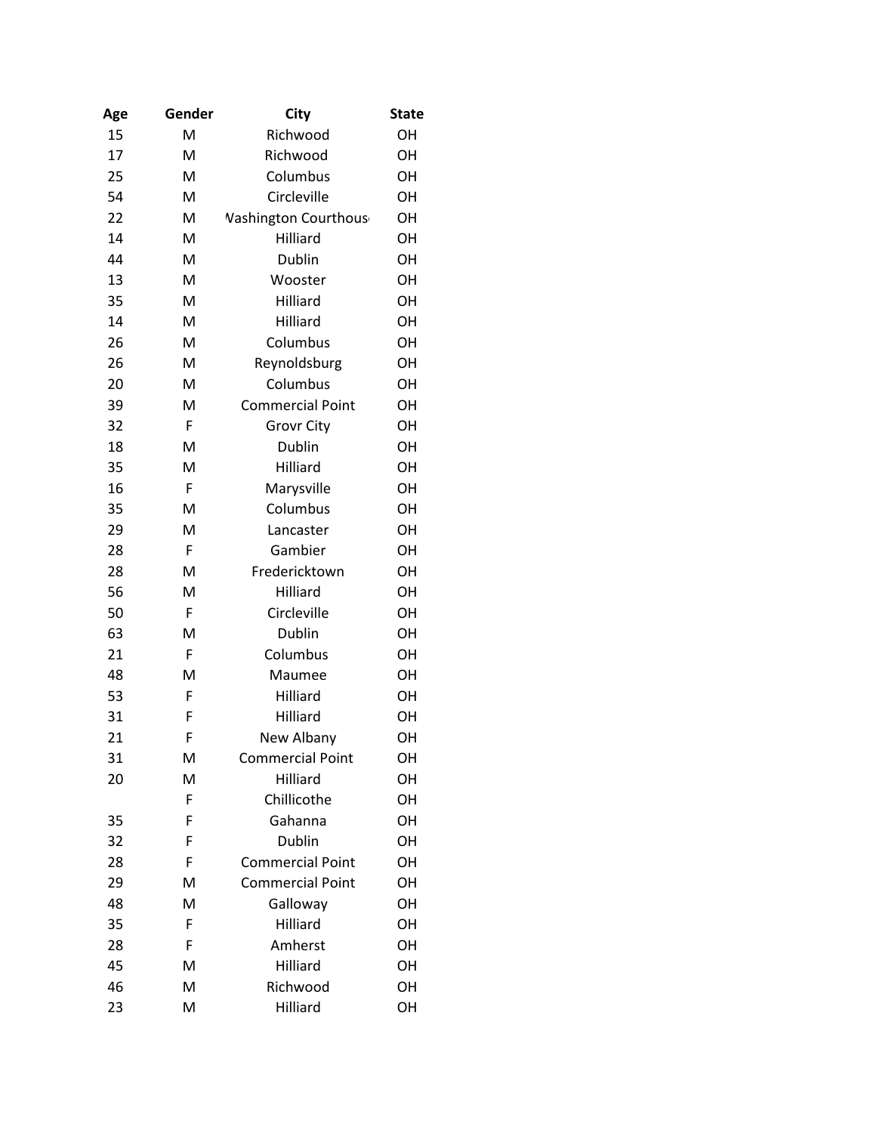| Age | Gender | City                        | <b>State</b> |
|-----|--------|-----------------------------|--------------|
| 15  | M      | Richwood                    | OH           |
| 17  | M      | Richwood                    | OН           |
| 25  | M      | Columbus                    | OH           |
| 54  | M      | Circleville                 | OH           |
| 22  | M      | <b>Vashington Courthous</b> | OH           |
| 14  | M      | Hilliard                    | OH           |
| 44  | M      | Dublin                      | OH           |
| 13  | M      | Wooster                     | OH           |
| 35  | M      | Hilliard                    | OH           |
| 14  | M      | Hilliard                    | OH           |
| 26  | M      | Columbus                    | OH           |
| 26  | M      | Reynoldsburg                | OH           |
| 20  | M      | Columbus                    | OH           |
| 39  | M      | <b>Commercial Point</b>     | OH           |
| 32  | F      | <b>Grovr City</b>           | OH           |
| 18  | M      | Dublin                      | OH           |
| 35  | M      | Hilliard                    | OH           |
| 16  | F      | Marysville                  | OH           |
| 35  | M      | Columbus                    | OH           |
| 29  | M      | Lancaster                   | OH           |
| 28  | F      | Gambier                     | OH           |
| 28  | M      | Fredericktown               | OH           |
| 56  | M      | Hilliard                    | OH           |
| 50  | F      | Circleville                 | OH           |
| 63  | M      | Dublin                      | OH           |
| 21  | F      | Columbus                    | OH           |
| 48  | M      | Maumee                      | OH           |
| 53  | F      | Hilliard                    | OH           |
| 31  | F      | Hilliard                    | OH           |
| 21  | F      | New Albany                  | OH           |
| 31  | M      | <b>Commercial Point</b>     | OH           |
| 20  | M      | Hilliard                    | OН           |
|     | F      | Chillicothe                 | OН           |
| 35  | F      | Gahanna                     | OН           |
| 32  | F      | Dublin                      | OH           |
| 28  | F      | <b>Commercial Point</b>     | OH           |
| 29  | M      | <b>Commercial Point</b>     | OH           |
| 48  | M      | Galloway                    | OH           |
| 35  | F      | Hilliard                    | OH           |
| 28  | F      | Amherst                     | OH           |
| 45  | M      | Hilliard                    | ОH           |
| 46  | M      | Richwood                    | ОH           |
| 23  | M      | Hilliard                    | OН           |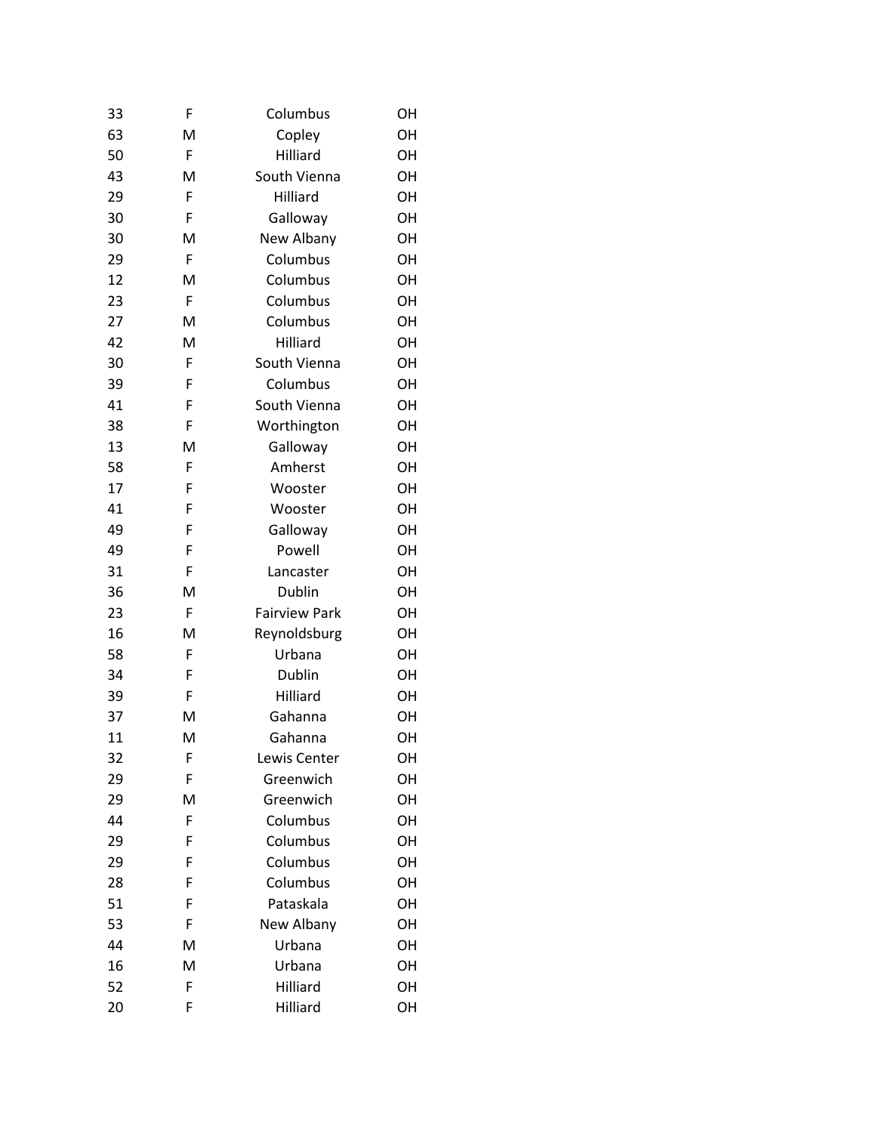| 33 | F           | Columbus             | OH |
|----|-------------|----------------------|----|
| 63 | M           | Copley               | OH |
| 50 | F           | Hilliard             | OН |
| 43 | M           | South Vienna         | OH |
| 29 | F           | Hilliard             | OH |
| 30 | F           | Galloway             | OH |
| 30 | M           | New Albany           | OH |
| 29 | F           | Columbus             | OH |
| 12 | M           | Columbus             | OH |
| 23 | $\mathsf F$ | Columbus             | OH |
| 27 | M           | Columbus             | OH |
| 42 | M           | Hilliard             | OH |
| 30 | F           | South Vienna         | OH |
| 39 | F           | Columbus             | OH |
| 41 | F           | South Vienna         | OH |
| 38 | F           | Worthington          | OH |
| 13 | M           | Galloway             | OH |
| 58 | F           | Amherst              | OH |
| 17 | F           | Wooster              | OH |
| 41 | F           | Wooster              | OH |
| 49 | F           | Galloway             | OH |
| 49 | F           | Powell               | OH |
| 31 | F           | Lancaster            | OH |
| 36 | M           | Dublin               | OH |
| 23 | F           | <b>Fairview Park</b> | OH |
| 16 | M           | Reynoldsburg         | OH |
| 58 | F           | Urbana               | OH |
| 34 | F           | Dublin               | OH |
| 39 | F           | Hilliard             | OH |
| 37 | M           | Gahanna              | ОH |
| 11 | M           | Gahanna              | OH |
| 32 | F           | Lewis Center         | OH |
| 29 | F           | Greenwich            | ОH |
| 29 | M           | Greenwich            | OH |
| 44 | F           | Columbus             | ОH |
| 29 | F           | Columbus             | OH |
| 29 | F           | Columbus             | OH |
| 28 | F           | Columbus             | OH |
| 51 | F           | Pataskala            | OH |
| 53 | F           | New Albany           | OH |
| 44 | M           | Urbana               | OH |
| 16 | M           | Urbana               | ОH |
| 52 | F           | Hilliard             | OH |
| 20 | F           | Hilliard             | ОH |